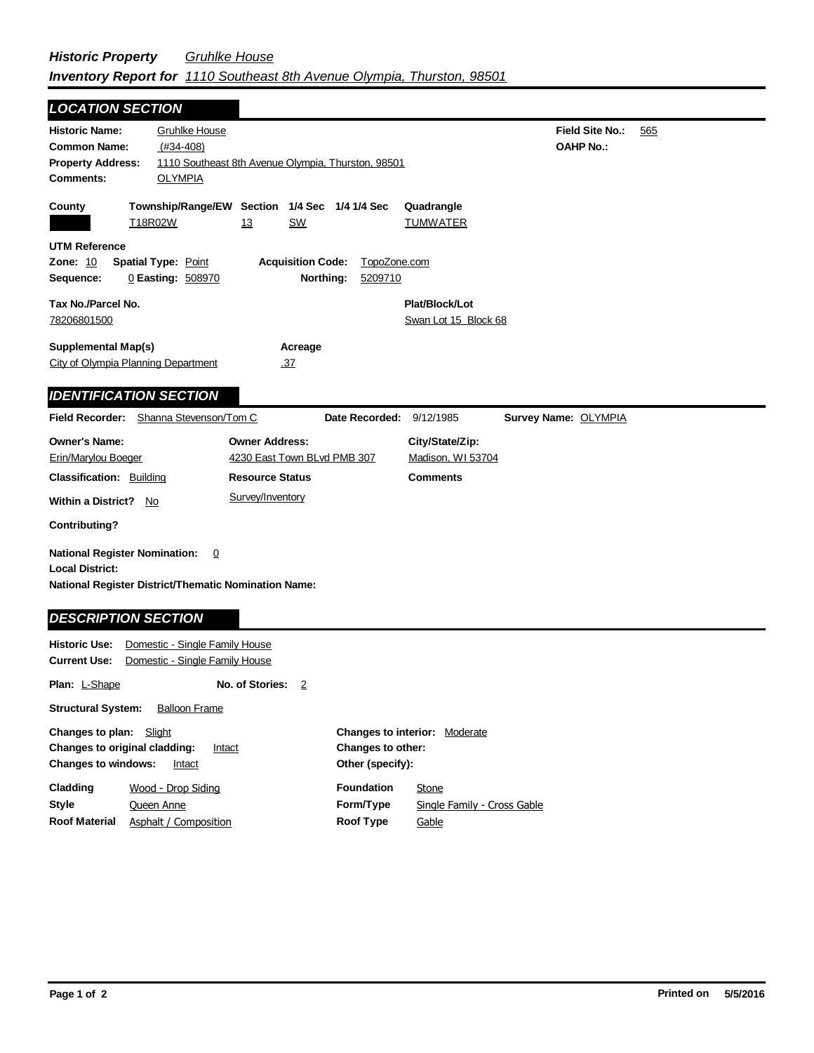## *Historic Property Gruhlke House Inventory Report for 1110 Southeast 8th Avenue Olympia, Thurston, 98501*

| <b>LOCATION SECTION</b>                                                                                                       |                                                                                                             |                                                      |                                       |                         |                                        |                      |                                     |     |
|-------------------------------------------------------------------------------------------------------------------------------|-------------------------------------------------------------------------------------------------------------|------------------------------------------------------|---------------------------------------|-------------------------|----------------------------------------|----------------------|-------------------------------------|-----|
| <b>Historic Name:</b><br><b>Common Name:</b><br><b>Property Address:</b><br><b>Comments:</b>                                  | <b>Gruhlke House</b><br>$(#34-408)$<br>1110 Southeast 8th Avenue Olympia, Thurston, 98501<br><b>OLYMPIA</b> |                                                      |                                       |                         |                                        |                      | Field Site No.:<br><b>OAHP No.:</b> | 565 |
| County                                                                                                                        | Township/Range/EW Section 1/4 Sec 1/4 1/4 Sec<br>T18R02W                                                    | <u>13</u>                                            | <b>SW</b>                             |                         | Quadrangle<br><b>TUMWATER</b>          |                      |                                     |     |
| <b>UTM Reference</b><br><b>Zone: 10</b><br>Sequence:                                                                          | <b>Spatial Type: Point</b><br>0 Easting: 508970                                                             |                                                      | <b>Acquisition Code:</b><br>Northing: | TopoZone.com<br>5209710 |                                        |                      |                                     |     |
| Tax No./Parcel No.<br>78206801500                                                                                             |                                                                                                             |                                                      |                                       |                         | Plat/Block/Lot<br>Swan Lot 15 Block 68 |                      |                                     |     |
| <b>Supplemental Map(s)</b><br>City of Olympia Planning Department                                                             |                                                                                                             |                                                      | Acreage<br>.37                        |                         |                                        |                      |                                     |     |
| <b>IDENTIFICATION SECTION</b>                                                                                                 |                                                                                                             |                                                      |                                       |                         |                                        |                      |                                     |     |
| <b>Field Recorder:</b>                                                                                                        | Shanna Stevenson/Tom C                                                                                      |                                                      |                                       | Date Recorded:          | 9/12/1985                              | Survey Name: OLYMPIA |                                     |     |
| <b>Owner's Name:</b><br>Erin/Marylou Boeger                                                                                   |                                                                                                             | <b>Owner Address:</b><br>4230 East Town BLvd PMB 307 |                                       |                         | City/State/Zip:<br>Madison, WI 53704   |                      |                                     |     |
|                                                                                                                               | <b>Classification: Building</b><br><b>Resource Status</b>                                                   |                                                      |                                       |                         | <b>Comments</b>                        |                      |                                     |     |
| Survey/Inventory<br><b>Within a District?</b><br>No                                                                           |                                                                                                             |                                                      |                                       |                         |                                        |                      |                                     |     |
| <b>Contributing?</b>                                                                                                          |                                                                                                             |                                                      |                                       |                         |                                        |                      |                                     |     |
| <b>National Register Nomination:</b><br><b>Local District:</b><br><b>National Register District/Thematic Nomination Name:</b> | $\overline{0}$                                                                                              |                                                      |                                       |                         |                                        |                      |                                     |     |
| <b>DESCRIPTION SECTION</b>                                                                                                    |                                                                                                             |                                                      |                                       |                         |                                        |                      |                                     |     |
| <b>Historic Use:</b><br><b>Current Use:</b>                                                                                   | Domestic - Single Family House<br>Domestic - Single Family House                                            |                                                      |                                       |                         |                                        |                      |                                     |     |
| Plan: L-Shape                                                                                                                 |                                                                                                             | No. of Stories:                                      | $\overline{2}$                        |                         |                                        |                      |                                     |     |
| <b>Structural System:</b>                                                                                                     | <b>Balloon Frame</b>                                                                                        |                                                      |                                       |                         |                                        |                      |                                     |     |

| <b>Changes to interior:</b> Moderate     |  |  |  |  |
|------------------------------------------|--|--|--|--|
| Changes to other:<br>Other (specify):    |  |  |  |  |
| <b>Foundation</b><br>Stone               |  |  |  |  |
| Form/Type<br>Single Family - Cross Gable |  |  |  |  |
| <b>Roof Type</b><br>Gable                |  |  |  |  |
|                                          |  |  |  |  |